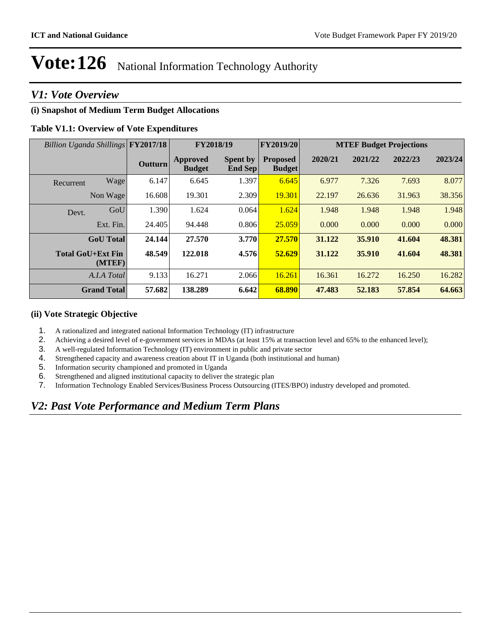### *V1: Vote Overview*

### **(i) Snapshot of Medium Term Budget Allocations**

### **Table V1.1: Overview of Vote Expenditures**

| Billion Uganda Shillings FY2017/18 |      |                | FY2018/19                        |                            | <b>FY2019/20</b>                 | <b>MTEF Budget Projections</b> |         |         |         |
|------------------------------------|------|----------------|----------------------------------|----------------------------|----------------------------------|--------------------------------|---------|---------|---------|
|                                    |      | <b>Outturn</b> | <b>Approved</b><br><b>Budget</b> | <b>Spent by</b><br>End Sep | <b>Proposed</b><br><b>Budget</b> | 2020/21                        | 2021/22 | 2022/23 | 2023/24 |
| Recurrent                          | Wage | 6.147          | 6.645                            | 1.397                      | 6.645                            | 6.977                          | 7.326   | 7.693   | 8.077   |
| Non Wage                           |      | 16.608         | 19.301                           | 2.309                      | 19.301                           | 22.197                         | 26.636  | 31.963  | 38.356  |
| Devt.                              | GoU  | 1.390          | 1.624                            | 0.064                      | 1.624                            | 1.948                          | 1.948   | 1.948   | 1.948   |
| Ext. Fin.                          |      | 24.405         | 94.448                           | 0.806                      | 25.059                           | 0.000                          | 0.000   | 0.000   | 0.000   |
| <b>GoU</b> Total                   |      | 24.144         | 27.570                           | 3.770                      | 27.570                           | 31.122                         | 35.910  | 41.604  | 48.381  |
| <b>Total GoU+Ext Fin</b><br>(MTEF) |      | 48.549         | 122.018                          | 4.576                      | 52.629                           | 31.122                         | 35.910  | 41.604  | 48.381  |
| A.I.A Total                        |      | 9.133          | 16.271                           | 2.066                      | 16.261                           | 16.361                         | 16.272  | 16.250  | 16.282  |
| <b>Grand Total</b>                 |      | 57.682         | 138.289                          | 6.642                      | 68.890                           | 47.483                         | 52.183  | 57.854  | 64.663  |

### **(ii) Vote Strategic Objective**

- 1. A rationalized and integrated national Information Technology (IT) infrastructure
- 2. Achieving a desired level of e-government services in MDAs (at least 15% at transaction level and 65% to the enhanced level);
- 3. A well-regulated Information Technology (IT) environment in public and private sector
- 4. Strengthened capacity and awareness creation about IT in Uganda (both institutional and human)
- 5. Information security championed and promoted in Uganda
- 6. Strengthened and aligned institutional capacity to deliver the strategic plan
- 7. Information Technology Enabled Services/Business Process Outsourcing (ITES/BPO) industry developed and promoted.

## *V2: Past Vote Performance and Medium Term Plans*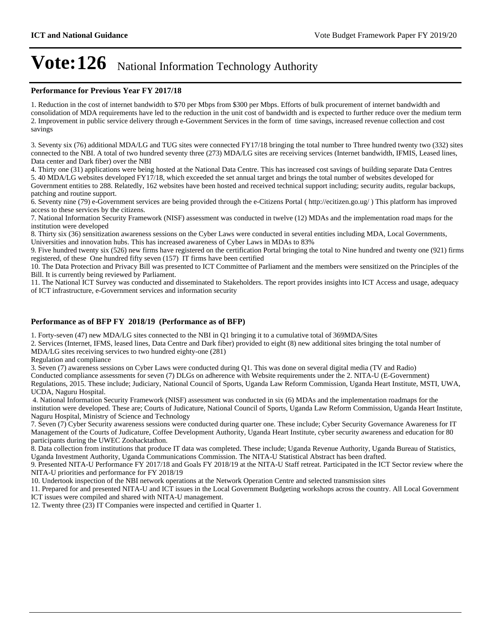#### **Performance for Previous Year FY 2017/18**

1. Reduction in the cost of internet bandwidth to \$70 per Mbps from \$300 per Mbps. Efforts of bulk procurement of internet bandwidth and consolidation of MDA requirements have led to the reduction in the unit cost of bandwidth and is expected to further reduce over the medium term 2. Improvement in public service delivery through e-Government Services in the form of time savings, increased revenue collection and cost savings

3. Seventy six (76) additional MDA/LG and TUG sites were connected FY17/18 bringing the total number to Three hundred twenty two (332) sites connected to the NBI. A total of two hundred seventy three (273) MDA/LG sites are receiving services (Internet bandwidth, IFMIS, Leased lines, Data center and Dark fiber) over the NBI

4. Thirty one (31) applications were being hosted at the National Data Centre. This has increased cost savings of building separate Data Centres 5. 40 MDA/LG websites developed FY17/18, which exceeded the set annual target and brings the total number of websites developed for Government entities to 288. Relatedly, 162 websites have been hosted and received technical support including; security audits, regular backups, patching and routine support.

6. Seventy nine (79) e-Government services are being provided through the e-Citizens Portal ( http://ecitizen.go.ug/ ) This platform has improved access to these services by the citizens.

7. National Information Security Framework (NISF) assessment was conducted in twelve (12) MDAs and the implementation road maps for the institution were developed

8. Thirty six (36) sensitization awareness sessions on the Cyber Laws were conducted in several entities including MDA, Local Governments, Universities and innovation hubs. This has increased awareness of Cyber Laws in MDAs to 83%

9. Five hundred twenty six (526) new firms have registered on the certification Portal bringing the total to Nine hundred and twenty one (921) firms registered, of these One hundred fifty seven (157) IT firms have been certified

10. The Data Protection and Privacy Bill was presented to ICT Committee of Parliament and the members were sensitized on the Principles of the Bill. It is currently being reviewed by Parliament.

11. The National ICT Survey was conducted and disseminated to Stakeholders. The report provides insights into ICT Access and usage, adequacy of ICT infrastructure, e-Government services and information security

#### **Performance as of BFP FY 2018/19 (Performance as of BFP)**

1. Forty-seven (47) new MDA/LG sites connected to the NBI in Q1 bringing it to a cumulative total of 369MDA/Sites

2. Services (Internet, IFMS, leased lines, Data Centre and Dark fiber) provided to eight (8) new additional sites bringing the total number of MDA/LG sites receiving services to two hundred eighty-one (281)

Regulation and compliance

3. Seven (7) awareness sessions on Cyber Laws were conducted during Q1. This was done on several digital media (TV and Radio)

Conducted compliance assessments for seven (7) DLGs on adherence with Website requirements under the 2. NITA-U (E-Government)

Regulations, 2015. These include; Judiciary, National Council of Sports, Uganda Law Reform Commission, Uganda Heart Institute, MSTI, UWA, UCDA, Naguru Hospital.

4. National Information Security Framework (NISF) assessment was conducted in six (6) MDAs and the implementation roadmaps for the institution were developed. These are; Courts of Judicature, National Council of Sports, Uganda Law Reform Commission, Uganda Heart Institute, Naguru Hospital, Ministry of Science and Technology

7. Seven (7) Cyber Security awareness sessions were conducted during quarter one. These include; Cyber Security Governance Awareness for IT Management of the Courts of Judicature, Coffee Development Authority, Uganda Heart Institute, cyber security awareness and education for 80 participants during the UWEC Zoohacktathon.

8. Data collection from institutions that produce IT data was completed. These include; Uganda Revenue Authority, Uganda Bureau of Statistics, Uganda Investment Authority, Uganda Communications Commission. The NITA-U Statistical Abstract has been drafted.

9. Presented NITA-U Performance FY 2017/18 and Goals FY 2018/19 at the NITA-U Staff retreat. Participated in the ICT Sector review where the NITA-U priorities and performance for FY 2018/19

10. Undertook inspection of the NBI network operations at the Network Operation Centre and selected transmission sites

11. Prepared for and presented NITA-U and ICT issues in the Local Government Budgeting workshops across the country. All Local Government ICT issues were compiled and shared with NITA-U management.

12. Twenty three (23) IT Companies were inspected and certified in Quarter 1.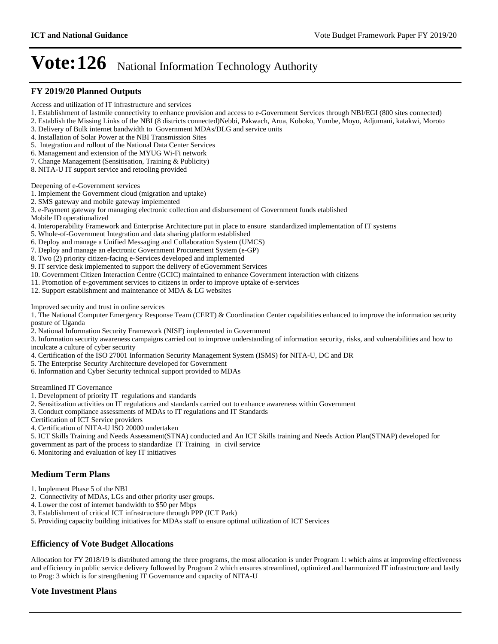#### **FY 2019/20 Planned Outputs**

- Access and utilization of IT infrastructure and services
- 1. Establishment of lastmile connectivity to enhance provision and access to e-Government Services through NBI/EGI (800 sites connected)
- 2. Establish the Missing Links of the NBI (8 districts connected)Nebbi, Pakwach, Arua, Koboko, Yumbe, Moyo, Adjumani, katakwi, Moroto
- 3. Delivery of Bulk internet bandwidth to Government MDAs/DLG and service units
- 4. Installation of Solar Power at the NBI Transmission Sites
- 5. Integration and rollout of the National Data Center Services
- 6. Management and extension of the MYUG Wi-Fi network
- 7. Change Management (Sensitisation, Training & Publicity)
- 8. NITA-U IT support service and retooling provided

#### Deepening of e-Government services

- 1. Implement the Government cloud (migration and uptake)
- 2. SMS gateway and mobile gateway implemented
- 3. e-Payment gateway for managing electronic collection and disbursement of Government funds etablished
- Mobile ID operationalized
- 4. Interoperability Framework and Enterprise Architecture put in place to ensure standardized implementation of IT systems
- 5. Whole-of-Government Integration and data sharing platform established
- 6. Deploy and manage a Unified Messaging and Collaboration System (UMCS)
- 7. Deploy and manage an electronic Government Procurement System (e-GP)
- 8. Two (2) priority citizen-facing e-Services developed and implemented
- 9. IT service desk implemented to support the delivery of eGovernment Services
- 10. Government Citizen Interaction Centre (GCIC) maintained to enhance Government interaction with citizens
- 11. Promotion of e-government services to citizens in order to improve uptake of e-services
- 12. Support establishment and maintenance of MDA & LG websites

Improved security and trust in online services

1. The National Computer Emergency Response Team (CERT) & Coordination Center capabilities enhanced to improve the information security posture of Uganda

- 2. National Information Security Framework (NISF) implemented in Government
- 3. Information security awareness campaigns carried out to improve understanding of information security, risks, and vulnerabilities and how to inculcate a culture of cyber security
- 4. Certification of the ISO 27001 Information Security Management System (ISMS) for NITA-U, DC and DR
- 5. The Enterprise Security Architecture developed for Government
- 6. Information and Cyber Security technical support provided to MDAs

Streamlined IT Governance

- 1. Development of priority IT regulations and standards
- 2. Sensitization activities on IT regulations and standards carried out to enhance awareness within Government
- 3. Conduct compliance assessments of MDAs to IT regulations and IT Standards
- Certification of ICT Service providers
- 4. Certification of NITA-U ISO 20000 undertaken
- 5. ICT Skills Training and Needs Assessment(STNA) conducted and An ICT Skills training and Needs Action Plan(STNAP) developed for
- government as part of the process to standardize IT Training in civil service
- 6. Monitoring and evaluation of key IT initiatives

### **Medium Term Plans**

- 1. Implement Phase 5 of the NBI
- 2. Connectivity of MDAs, LGs and other priority user groups.
- 4. Lower the cost of internet bandwidth to \$50 per Mbps
- 3. Establishment of critical ICT infrastructure through PPP (ICT Park)
- 5. Providing capacity building initiatives for MDAs staff to ensure optimal utilization of ICT Services

### **Efficiency of Vote Budget Allocations**

Allocation for FY 2018/19 is distributed among the three programs, the most allocation is under Program 1: which aims at improving effectiveness and efficiency in public service delivery followed by Program 2 which ensures streamlined, optimized and harmonized IT infrastructure and lastly to Prog: 3 which is for strengthening IT Governance and capacity of NITA-U

### **Vote Investment Plans**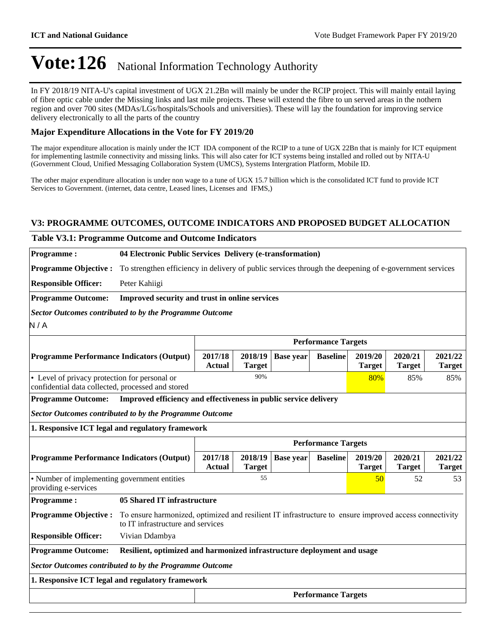In FY 2018/19 NITA-U's capital investment of UGX 21.2Bn will mainly be under the RCIP project. This will mainly entail laying of fibre optic cable under the Missing links and last mile projects. These will extend the fibre to un served areas in the nothern region and over 700 sites (MDAs/LGs/hospitals/Schools and universities). These will lay the foundation for improving service delivery electronically to all the parts of the country

### **Major Expenditure Allocations in the Vote for FY 2019/20**

The major expenditure allocation is mainly under the ICT IDA component of the RCIP to a tune of UGX 22Bn that is mainly for ICT equipment for implementing lastmile connectivity and missing links. This will also cater for ICT systems being installed and rolled out by NITA-U (Government Cloud, Unified Messaging Collaboration System (UMCS), Systems Intergration Platform, Mobile ID.

The other major expenditure allocation is under non wage to a tune of UGX 15.7 billion which is the consolidated ICT fund to provide ICT Services to Government. (internet, data centre, Leased lines, Licenses and IFMS,)

### **V3: PROGRAMME OUTCOMES, OUTCOME INDICATORS AND PROPOSED BUDGET ALLOCATION**

## **Table V3.1: Programme Outcome and Outcome Indicators**

**Programme : 04 Electronic Public Services Delivery (e-transformation) Programme Objective :** To strengthen efficiency in delivery of public services through the deepening of e-government services

**Responsible Officer:** Peter Kahiigi

**Programme Outcome: Improved security and trust in online services**

*Sector Outcomes contributed to by the Programme Outcome*

N / A

|                                                                                                    | <b>Performance Targets</b> |               |                     |                 |                          |                          |                          |  |  |
|----------------------------------------------------------------------------------------------------|----------------------------|---------------|---------------------|-----------------|--------------------------|--------------------------|--------------------------|--|--|
| <b>Programme Performance Indicators (Output)</b>                                                   | 2017/18<br><b>Actual</b>   | <b>Target</b> | $2018/19$ Base year | <b>Baseline</b> | 2019/20<br><b>Target</b> | 2020/21<br><b>Target</b> | 2021/22<br><b>Target</b> |  |  |
| • Level of privacy protection for personal or<br>confidential data collected, processed and stored |                            | 90%           |                     |                 | 80%                      | 85%                      | 85%                      |  |  |

**Programme Outcome: Improved efficiency and effectiveness in public service delivery**

*Sector Outcomes contributed to by the Programme Outcome*

**1. Responsive ICT legal and regulatory framework**

|                                                                      |                                                                                                                                             | <b>Performance Targets</b> |                  |                 |                          |                          |                          |  |  |
|----------------------------------------------------------------------|---------------------------------------------------------------------------------------------------------------------------------------------|----------------------------|------------------|-----------------|--------------------------|--------------------------|--------------------------|--|--|
| <b>Programme Performance Indicators (Output)</b>                     | 2017/18<br>Actual                                                                                                                           | 2018/19<br><b>Target</b>   | <b>Base year</b> | <b>Baseline</b> | 2019/20<br><b>Target</b> | 2020/21<br><b>Target</b> | 2021/22<br><b>Target</b> |  |  |
| • Number of implementing government entities<br>providing e-services |                                                                                                                                             | 55                         |                  |                 | 50 <sup>°</sup>          | 52                       | 53                       |  |  |
| <b>Programme:</b>                                                    | 05 Shared IT infrastructure                                                                                                                 |                            |                  |                 |                          |                          |                          |  |  |
| <b>Programme Objective:</b>                                          | To ensure harmonized, optimized and resilient IT infrastructure to ensure improved access connectivity<br>to IT infrastructure and services |                            |                  |                 |                          |                          |                          |  |  |
| <b>Responsible Officer:</b>                                          | Vivian Ddambya                                                                                                                              |                            |                  |                 |                          |                          |                          |  |  |
| <b>Programme Outcome:</b>                                            | Resilient, optimized and harmonized infrastructure deployment and usage                                                                     |                            |                  |                 |                          |                          |                          |  |  |
| Sector Outcomes contributed to by the Programme Outcome              |                                                                                                                                             |                            |                  |                 |                          |                          |                          |  |  |
| 1. Responsive ICT legal and regulatory framework                     |                                                                                                                                             |                            |                  |                 |                          |                          |                          |  |  |
|                                                                      | <b>Performance Targets</b>                                                                                                                  |                            |                  |                 |                          |                          |                          |  |  |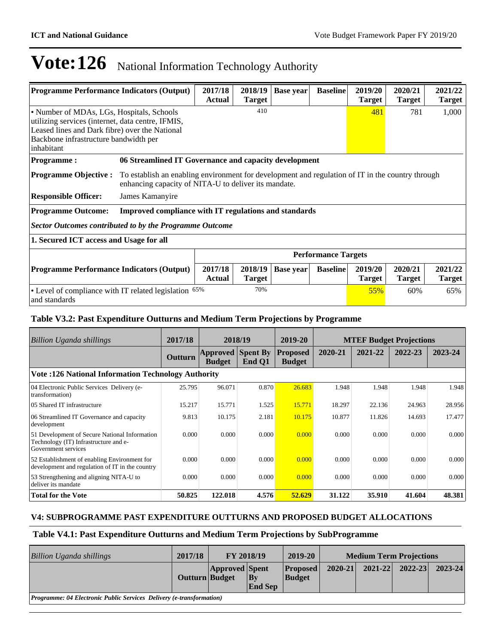| <b>Programme Performance Indicators (Output)</b>                              | 2017/18<br><b>Actual</b>                                                                                                                                                                         | 2018/19<br><b>Target</b>                              | <b>Base year</b> | <b>Baseline</b> | 2019/20<br><b>Target</b> | 2020/21<br><b>Target</b> | 2021/22<br><b>Target</b> |       |  |
|-------------------------------------------------------------------------------|--------------------------------------------------------------------------------------------------------------------------------------------------------------------------------------------------|-------------------------------------------------------|------------------|-----------------|--------------------------|--------------------------|--------------------------|-------|--|
| inhabitant                                                                    | 410<br>• Number of MDAs, LGs, Hospitals, Schools<br>utilizing services (internet, data centre, IFMIS,<br>Leased lines and Dark fibre) over the National<br>Backbone infrastructure bandwidth per |                                                       |                  |                 |                          |                          |                          | 1,000 |  |
| <b>Programme:</b>                                                             |                                                                                                                                                                                                  | 06 Streamlined IT Governance and capacity development |                  |                 |                          |                          |                          |       |  |
| <b>Programme Objective:</b>                                                   | To establish an enabling environment for development and regulation of IT in the country through<br>enhancing capacity of NITA-U to deliver its mandate.                                         |                                                       |                  |                 |                          |                          |                          |       |  |
| <b>Responsible Officer:</b>                                                   | James Kamanyire                                                                                                                                                                                  |                                                       |                  |                 |                          |                          |                          |       |  |
| <b>Programme Outcome:</b>                                                     | Improved compliance with IT regulations and standards                                                                                                                                            |                                                       |                  |                 |                          |                          |                          |       |  |
| <b>Sector Outcomes contributed to by the Programme Outcome</b>                |                                                                                                                                                                                                  |                                                       |                  |                 |                          |                          |                          |       |  |
| 1. Secured ICT access and Usage for all                                       |                                                                                                                                                                                                  |                                                       |                  |                 |                          |                          |                          |       |  |
| <b>Performance Targets</b>                                                    |                                                                                                                                                                                                  |                                                       |                  |                 |                          |                          |                          |       |  |
| <b>Programme Performance Indicators (Output)</b>                              | 2017/18<br><b>Actual</b>                                                                                                                                                                         | 2018/19<br><b>Target</b>                              | <b>Base year</b> | <b>Baseline</b> | 2019/20<br><b>Target</b> | 2020/21<br><b>Target</b> | 2021/22<br><b>Target</b> |       |  |
| 70%<br>• Level of compliance with IT related legislation 65%<br>and standards |                                                                                                                                                                                                  |                                                       |                  |                 |                          |                          | 60%                      | 65%   |  |

### **Table V3.2: Past Expenditure Outturns and Medium Term Projections by Programme**

| Billion Uganda shillings                                                                                      | 2017/18 | 2018/19                          |                           | 2019-20                          | <b>MTEF Budget Projections</b> |         |         |         |  |
|---------------------------------------------------------------------------------------------------------------|---------|----------------------------------|---------------------------|----------------------------------|--------------------------------|---------|---------|---------|--|
|                                                                                                               | Outturn | <b>Approved</b><br><b>Budget</b> | <b>Spent By</b><br>End Q1 | <b>Proposed</b><br><b>Budget</b> | 2020-21                        | 2021-22 | 2022-23 | 2023-24 |  |
| <b>Vote: 126 National Information Technology Authority</b>                                                    |         |                                  |                           |                                  |                                |         |         |         |  |
| 04 Electronic Public Services Delivery (e-<br>transformation)                                                 | 25.795  | 96.071                           | 0.870                     | 26.683                           | 1.948                          | 1.948   | 1.948   | 1.948   |  |
| 05 Shared IT infrastructure                                                                                   | 15.217  | 15.771                           | 1.525                     | 15.771                           | 18.297                         | 22.136  | 24.963  | 28.956  |  |
| 06 Streamlined IT Governance and capacity<br>development                                                      | 9.813   | 10.175                           | 2.181                     | 10.175                           | 10.877                         | 11.826  | 14.693  | 17.477  |  |
| 51 Development of Secure National Information<br>Technology (IT) Infrastructure and e-<br>Government services | 0.000   | 0.000                            | 0.000                     | 0.000                            | 0.000                          | 0.000   | 0.000   | 0.000   |  |
| 52 Establishment of enabling Environment for<br>development and regulation of IT in the country               | 0.000   | 0.000                            | 0.000                     | 0.000                            | 0.000                          | 0.000   | 0.000   | 0.000   |  |
| 53 Strengthening and aligning NITA-U to<br>deliver its mandate                                                | 0.000   | 0.000                            | 0.000                     | 0.000                            | 0.000                          | 0.000   | 0.000   | 0.000   |  |
| <b>Total for the Vote</b>                                                                                     | 50.825  | 122.018                          | 4.576                     | 52.629                           | 31.122                         | 35.910  | 41.604  | 48.381  |  |

### **V4: SUBPROGRAMME PAST EXPENDITURE OUTTURNS AND PROPOSED BUDGET ALLOCATIONS**

### **Table V4.1: Past Expenditure Outturns and Medium Term Projections by SubProgramme**

| <b>Billion Uganda shillings</b>                                             | 2017/18        | <b>FY 2018/19</b>     |                                | 2019-20                          | <b>Medium Term Projections</b> |             |             |             |
|-----------------------------------------------------------------------------|----------------|-----------------------|--------------------------------|----------------------------------|--------------------------------|-------------|-------------|-------------|
|                                                                             | Outturn Budget | <b>Approved Spent</b> | $ {\bf B}$ v<br><b>End Sep</b> | <b>Proposed</b><br><b>Budget</b> | $2020 - 21$                    | $2021 - 22$ | $2022 - 23$ | $2023 - 24$ |
| <i>Programme: 04 Electronic Public Services Delivery (e-transformation)</i> |                |                       |                                |                                  |                                |             |             |             |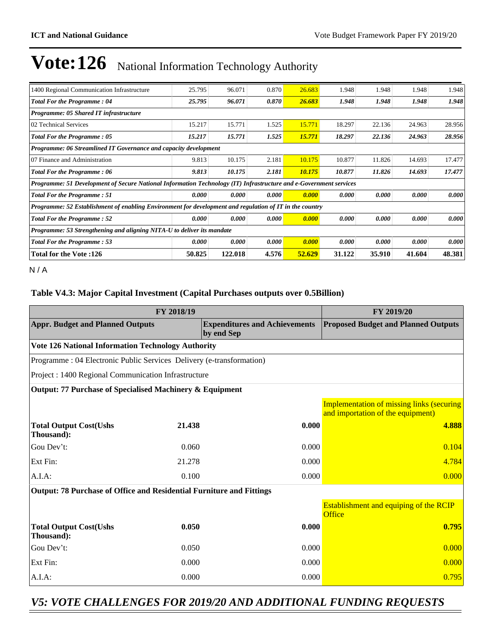| 1400 Regional Communication Infrastructure                                                                        | 25.795 | 96.071  | 0.870 | 26.683 | 1.948  | 1.948  | 1.948  | 1.948  |  |  |  |
|-------------------------------------------------------------------------------------------------------------------|--------|---------|-------|--------|--------|--------|--------|--------|--|--|--|
| <b>Total For the Programme: 04</b>                                                                                | 25.795 | 96.071  | 0.870 | 26.683 | 1.948  | 1.948  | 1.948  | 1.948  |  |  |  |
| Programme: 05 Shared IT infrastructure                                                                            |        |         |       |        |        |        |        |        |  |  |  |
| 02 Technical Services                                                                                             | 15.217 | 15.771  | 1.525 | 15.771 | 18.297 | 22.136 | 24.963 | 28.956 |  |  |  |
| <b>Total For the Programme: 05</b>                                                                                | 15.217 | 15.771  | 1.525 | 15.771 | 18.297 | 22.136 | 24.963 | 28.956 |  |  |  |
| Programme: 06 Streamlined IT Governance and capacity development                                                  |        |         |       |        |        |        |        |        |  |  |  |
| 07 Finance and Administration                                                                                     | 9.813  | 10.175  | 2.181 | 10.175 | 10.877 | 11.826 | 14.693 | 17.477 |  |  |  |
| <b>Total For the Programme: 06</b>                                                                                | 9.813  | 10.175  | 2.181 | 10.175 | 10.877 | 11.826 | 14.693 | 17.477 |  |  |  |
| Programme: 51 Development of Secure National Information Technology (IT) Infrastructure and e-Government services |        |         |       |        |        |        |        |        |  |  |  |
| <b>Total For the Programme: 51</b>                                                                                | 0.000  | 0.000   | 0.000 | 0.000  | 0.000  | 0.000  | 0.000  | 0.000  |  |  |  |
| Programme: 52 Establishment of enabling Environment for development and regulation of IT in the country           |        |         |       |        |        |        |        |        |  |  |  |
| <b>Total For the Programme: 52</b>                                                                                | 0.000  | 0.000   | 0.000 | 0.000  | 0.000  | 0.000  | 0.000  | 0.000  |  |  |  |
| Programme: 53 Strengthening and aligning NITA-U to deliver its mandate                                            |        |         |       |        |        |        |        |        |  |  |  |
| <b>Total For the Programme: 53</b>                                                                                | 0.000  | 0.000   | 0.000 | 0.000  | 0.000  | 0.000  | 0.000  | 0.000  |  |  |  |
| 126: Total for the Vote                                                                                           | 50.825 | 122.018 | 4.576 | 52.629 | 31.122 | 35.910 | 41.604 | 48.381 |  |  |  |

N / A

### **Table V4.3: Major Capital Investment (Capital Purchases outputs over 0.5Billion)**

|                                                                       | FY 2019/20 |                                                    |                                                                                       |
|-----------------------------------------------------------------------|------------|----------------------------------------------------|---------------------------------------------------------------------------------------|
| <b>Appr. Budget and Planned Outputs</b>                               |            | <b>Expenditures and Achievements</b><br>by end Sep | <b>Proposed Budget and Planned Outputs</b>                                            |
| <b>Vote 126 National Information Technology Authority</b>             |            |                                                    |                                                                                       |
| Programme : 04 Electronic Public Services Delivery (e-transformation) |            |                                                    |                                                                                       |
| Project : 1400 Regional Communication Infrastructure                  |            |                                                    |                                                                                       |
| Output: 77 Purchase of Specialised Machinery & Equipment              |            |                                                    |                                                                                       |
|                                                                       |            |                                                    | <b>Implementation of missing links (securing</b><br>and importation of the equipment) |
| <b>Total Output Cost(Ushs</b><br>Thousand):                           | 21.438     | 0.000                                              | 4.888                                                                                 |
| Gou Dev't:                                                            | 0.060      | 0.000                                              | 0.104                                                                                 |
| Ext Fin:                                                              | 21.278     | 0.000                                              | 4.784                                                                                 |
| A.I.A:                                                                | 0.100      | 0.000                                              | 0.000                                                                                 |
| Output: 78 Purchase of Office and Residential Furniture and Fittings  |            |                                                    |                                                                                       |
|                                                                       |            |                                                    | Establishment and equiping of the RCIP<br>Office                                      |
| <b>Total Output Cost(Ushs</b><br>Thousand):                           | 0.050      | 0.000                                              | 0.795                                                                                 |
| Gou Dev't:                                                            | 0.050      | 0.000                                              | 0.000                                                                                 |
| Ext Fin:                                                              | 0.000      | 0.000                                              | 0.000                                                                                 |
| $A.I.A$ :                                                             | 0.000      | 0.000                                              | 0.795                                                                                 |

## *V5: VOTE CHALLENGES FOR 2019/20 AND ADDITIONAL FUNDING REQUESTS*